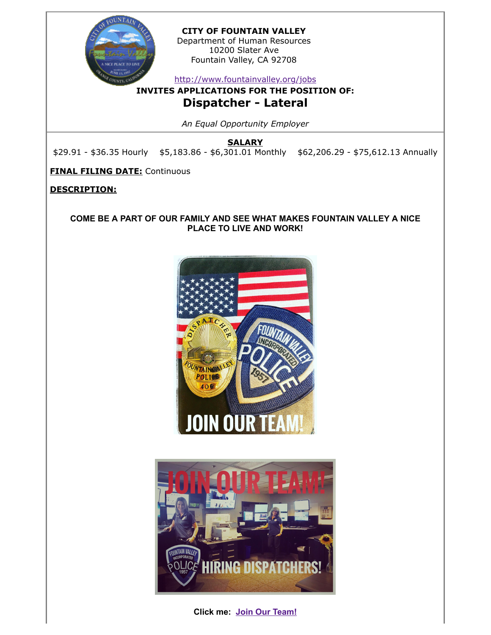

**CITY OF FOUNTAIN VALLEY**

Department of Human Resources 10200 Slater Ave Fountain Valley, CA 92708

<http://www.fountainvalley.org/jobs>

**INVITES APPLICATIONS FOR THE POSITION OF:**

# **Dispatcher - Lateral**

*An Equal Opportunity Employer*

**SALARY**

\$29.91 - \$36.35 Hourly \$5,183.86 - \$6,301.01 Monthly \$62,206.29 - \$75,612.13 Annually

**FINAL FILING DATE:** Continuous

**DESCRIPTION:**

**COME BE A PART OF OUR FAMILY AND SEE WHAT MAKES FOUNTAIN VALLEY A NICE PLACE TO LIVE AND WORK!**





**Click me: [Join Our Team!](https://www.youtube.com/watch?v=XxpA93uX50E)**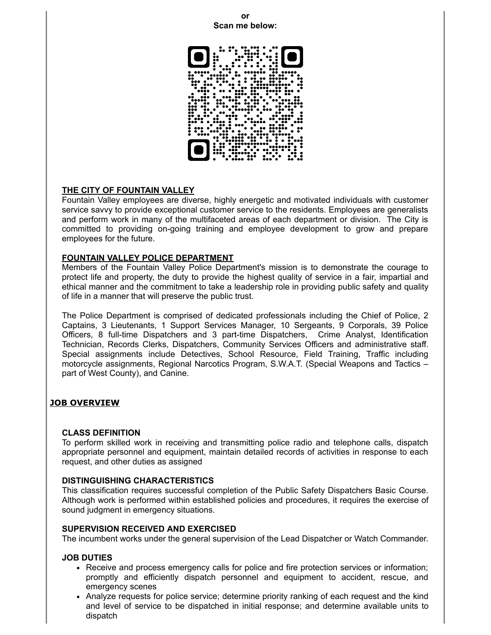#### **or Scan me below:**



### **THE CITY OF FOUNTAIN VALLEY**

Fountain Valley employees are diverse, highly energetic and motivated individuals with customer service savvy to provide exceptional customer service to the residents. Employees are generalists and perform work in many of the multifaceted areas of each department or division. The City is committed to providing on-going training and employee development to grow and prepare employees for the future.

### **FOUNTAIN VALLEY POLICE DEPARTMENT**

Members of the Fountain Valley Police Department's mission is to demonstrate the courage to protect life and property, the duty to provide the highest quality of service in a fair, impartial and ethical manner and the commitment to take a leadership role in providing public safety and quality of life in a manner that will preserve the public trust.

The Police Department is comprised of dedicated professionals including the Chief of Police, 2 Captains, 3 Lieutenants, 1 Support Services Manager, 10 Sergeants, 9 Corporals, 39 Police Officers, 8 full-time Dispatchers and 3 part-time Dispatchers, Crime Analyst, Identification Technician, Records Clerks, Dispatchers, Community Services Officers and administrative staff. Special assignments include Detectives, School Resource, Field Training, Traffic including motorcycle assignments, Regional Narcotics Program, S.W.A.T. (Special Weapons and Tactics – part of West County), and Canine.

# **JOB OVERVIEW**

### **CLASS DEFINITION**

To perform skilled work in receiving and transmitting police radio and telephone calls, dispatch appropriate personnel and equipment, maintain detailed records of activities in response to each request, and other duties as assigned

### **DISTINGUISHING CHARACTERISTICS**

This classification requires successful completion of the Public Safety Dispatchers Basic Course. Although work is performed within established policies and procedures, it requires the exercise of sound judgment in emergency situations.

### **SUPERVISION RECEIVED AND EXERCISED**

The incumbent works under the general supervision of the Lead Dispatcher or Watch Commander.

### **JOB DUTIES**

- Receive and process emergency calls for police and fire protection services or information; promptly and efficiently dispatch personnel and equipment to accident, rescue, and emergency scenes
- Analyze requests for police service; determine priority ranking of each request and the kind and level of service to be dispatched in initial response; and determine available units to dispatch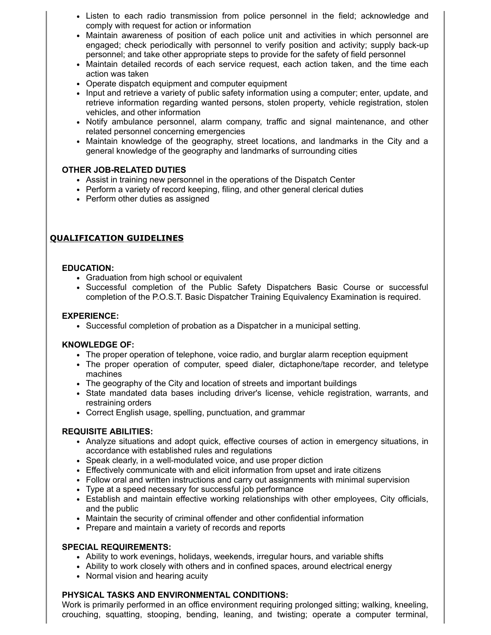- Listen to each radio transmission from police personnel in the field; acknowledge and comply with request for action or information
- Maintain awareness of position of each police unit and activities in which personnel are engaged; check periodically with personnel to verify position and activity; supply back-up personnel; and take other appropriate steps to provide for the safety of field personnel
- Maintain detailed records of each service request, each action taken, and the time each action was taken
- Operate dispatch equipment and computer equipment
- Input and retrieve a variety of public safety information using a computer; enter, update, and retrieve information regarding wanted persons, stolen property, vehicle registration, stolen vehicles, and other information
- Notify ambulance personnel, alarm company, traffic and signal maintenance, and other related personnel concerning emergencies
- Maintain knowledge of the geography, street locations, and landmarks in the City and a general knowledge of the geography and landmarks of surrounding cities

# **OTHER JOB-RELATED DUTIES**

- Assist in training new personnel in the operations of the Dispatch Center
- Perform a variety of record keeping, filing, and other general clerical duties
- Perform other duties as assigned

# **QUALIFICATION GUIDELINES**

### **EDUCATION:**

- Graduation from high school or equivalent
- Successful completion of the Public Safety Dispatchers Basic Course or successful completion of the P.O.S.T. Basic Dispatcher Training Equivalency Examination is required.

### **EXPERIENCE:**

• Successful completion of probation as a Dispatcher in a municipal setting.

### **KNOWLEDGE OF:**

- The proper operation of telephone, voice radio, and burglar alarm reception equipment
- The proper operation of computer, speed dialer, dictaphone/tape recorder, and teletype machines
- The geography of the City and location of streets and important buildings
- State mandated data bases including driver's license, vehicle registration, warrants, and restraining orders
- Correct English usage, spelling, punctuation, and grammar

### **REQUISITE ABILITIES:**

- Analyze situations and adopt quick, effective courses of action in emergency situations, in accordance with established rules and regulations
- Speak clearly, in a well-modulated voice, and use proper diction
- Effectively communicate with and elicit information from upset and irate citizens
- Follow oral and written instructions and carry out assignments with minimal supervision
- Type at a speed necessary for successful job performance
- Establish and maintain effective working relationships with other employees, City officials, and the public
- Maintain the security of criminal offender and other confidential information
- Prepare and maintain a variety of records and reports

### **SPECIAL REQUIREMENTS:**

- Ability to work evenings, holidays, weekends, irregular hours, and variable shifts
- Ability to work closely with others and in confined spaces, around electrical energy
- Normal vision and hearing acuity

### **PHYSICAL TASKS AND ENVIRONMENTAL CONDITIONS:**

Work is primarily performed in an office environment requiring prolonged sitting; walking, kneeling, crouching, squatting, stooping, bending, leaning, and twisting; operate a computer terminal,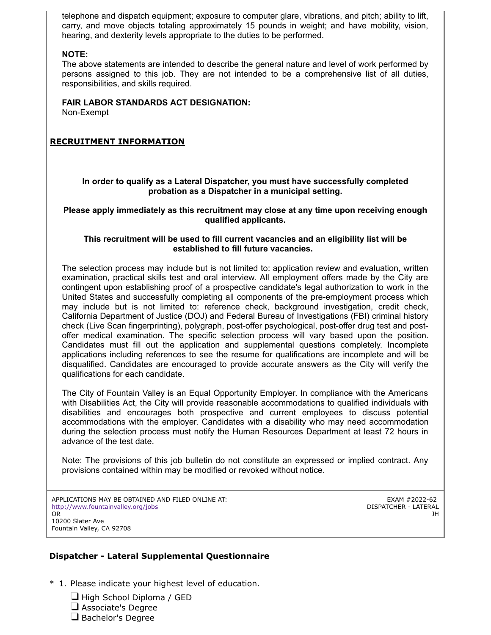telephone and dispatch equipment; exposure to computer glare, vibrations, and pitch; ability to lift, carry, and move objects totaling approximately 15 pounds in weight; and have mobility, vision, hearing, and dexterity levels appropriate to the duties to be performed.

### **NOTE:**

The above statements are intended to describe the general nature and level of work performed by persons assigned to this job. They are not intended to be a comprehensive list of all duties, responsibilities, and skills required.

### **FAIR LABOR STANDARDS ACT DESIGNATION:**

Non-Exempt

## **RECRUITMENT INFORMATION**

**In order to qualify as a Lateral Dispatcher, you must have successfully completed probation as a Dispatcher in a municipal setting.**

**Please apply immediately as this recruitment may close at any time upon receiving enough qualified applicants.**

### **This recruitment will be used to fill current vacancies and an eligibility list will be established to fill future vacancies.**

The selection process may include but is not limited to: application review and evaluation, written examination, practical skills test and oral interview. All employment offers made by the City are contingent upon establishing proof of a prospective candidate's legal authorization to work in the United States and successfully completing all components of the pre-employment process which may include but is not limited to: reference check, background investigation, credit check, California Department of Justice (DOJ) and Federal Bureau of Investigations (FBI) criminal history check (Live Scan fingerprinting), polygraph, post-offer psychological, post-offer drug test and postoffer medical examination. The specific selection process will vary based upon the position. Candidates must fill out the application and supplemental questions completely. Incomplete applications including references to see the resume for qualifications are incomplete and will be disqualified. Candidates are encouraged to provide accurate answers as the City will verify the qualifications for each candidate.

The City of Fountain Valley is an Equal Opportunity Employer. In compliance with the Americans with Disabilities Act, the City will provide reasonable accommodations to qualified individuals with disabilities and encourages both prospective and current employees to discuss potential accommodations with the employer. Candidates with a disability who may need accommodation during the selection process must notify the Human Resources Department at least 72 hours in advance of the test date.

Note: The provisions of this job bulletin do not constitute an expressed or implied contract. Any provisions contained within may be modified or revoked without notice.

APPLICATIONS MAY BE OBTAINED AND FILED ONLINE AT: <http://www.fountainvalley.org/jobs> OR

EXAM #2022-62 DISPATCHER - LATERAL JH

### **Dispatcher - Lateral Supplemental Questionnaire**

- \* 1. Please indicate your highest level of education.
	- **High School Diploma / GED** Associate's Degree
	- $\Box$  Bachelor's Degree

10200 Slater Ave Fountain Valley, CA 92708